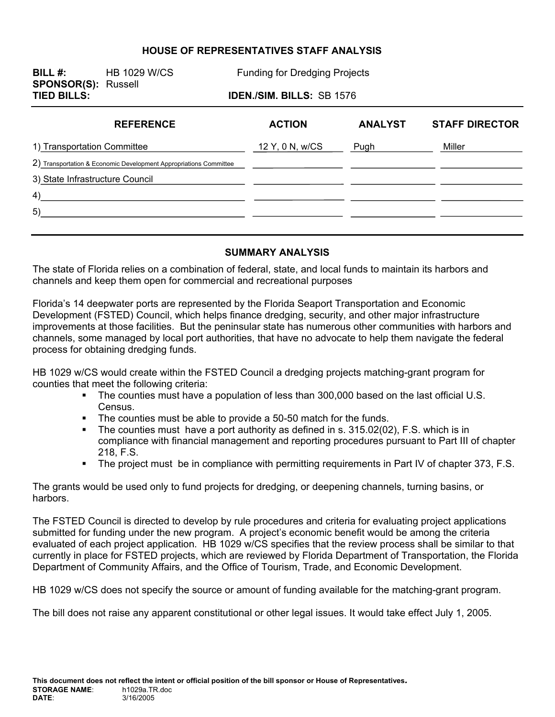#### **HOUSE OF REPRESENTATIVES STAFF ANALYSIS**

**SPONSOR(S):** Russell

**BILL #:** HB 1029 W/CS Funding for Dredging Projects

**TIED BILLS: IDEN./SIM. BILLS:** SB 1576

| <b>REFERENCE</b>                                                  | <b>ACTION</b>   | <b>ANALYST</b> | <b>STAFF DIRECTOR</b> |
|-------------------------------------------------------------------|-----------------|----------------|-----------------------|
| 1) Transportation Committee                                       | 12 Y, 0 N, w/CS | Pugh           | Miller                |
| 2) Transportation & Economic Development Appropriations Committee |                 |                |                       |
| 3) State Infrastructure Council                                   |                 |                |                       |
| 4)                                                                |                 |                |                       |
| 5)                                                                |                 |                |                       |
|                                                                   |                 |                |                       |

#### **SUMMARY ANALYSIS**

The state of Florida relies on a combination of federal, state, and local funds to maintain its harbors and channels and keep them open for commercial and recreational purposes

Florida's 14 deepwater ports are represented by the Florida Seaport Transportation and Economic Development (FSTED) Council, which helps finance dredging, security, and other major infrastructure improvements at those facilities. But the peninsular state has numerous other communities with harbors and channels, some managed by local port authorities, that have no advocate to help them navigate the federal process for obtaining dredging funds.

HB 1029 w/CS would create within the FSTED Council a dredging projects matching-grant program for counties that meet the following criteria:

- The counties must have a population of less than 300,000 based on the last official U.S. Census.
- The counties must be able to provide a 50-50 match for the funds.
- The counties must have a port authority as defined in s. 315.02(02), F.S. which is in compliance with financial management and reporting procedures pursuant to Part III of chapter 218, F.S.
- The project must be in compliance with permitting requirements in Part IV of chapter 373, F.S.

The grants would be used only to fund projects for dredging, or deepening channels, turning basins, or harbors.

The FSTED Council is directed to develop by rule procedures and criteria for evaluating project applications submitted for funding under the new program. A project's economic benefit would be among the criteria evaluated of each project application. HB 1029 w/CS specifies that the review process shall be similar to that currently in place for FSTED projects, which are reviewed by Florida Department of Transportation, the Florida Department of Community Affairs, and the Office of Tourism, Trade, and Economic Development.

HB 1029 w/CS does not specify the source or amount of funding available for the matching-grant program.

The bill does not raise any apparent constitutional or other legal issues. It would take effect July 1, 2005.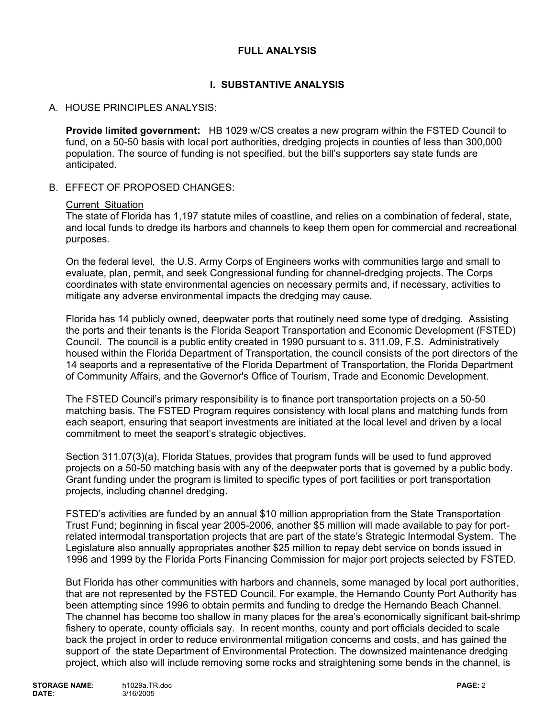### **FULL ANALYSIS**

# **I. SUBSTANTIVE ANALYSIS**

## A. HOUSE PRINCIPLES ANALYSIS:

**Provide limited government:** HB 1029 w/CS creates a new program within the FSTED Council to fund, on a 50-50 basis with local port authorities, dredging projects in counties of less than 300,000 population. The source of funding is not specified, but the bill's supporters say state funds are anticipated.

B. EFFECT OF PROPOSED CHANGES:

#### Current Situation

The state of Florida has 1,197 statute miles of coastline, and relies on a combination of federal, state, and local funds to dredge its harbors and channels to keep them open for commercial and recreational purposes.

On the federal level, the U.S. Army Corps of Engineers works with communities large and small to evaluate, plan, permit, and seek Congressional funding for channel-dredging projects. The Corps coordinates with state environmental agencies on necessary permits and, if necessary, activities to mitigate any adverse environmental impacts the dredging may cause.

Florida has 14 publicly owned, deepwater ports that routinely need some type of dredging. Assisting the ports and their tenants is the Florida Seaport Transportation and Economic Development (FSTED) Council. The council is a public entity created in 1990 pursuant to s. 311.09, F.S. Administratively housed within the Florida Department of Transportation, the council consists of the port directors of the 14 seaports and a representative of the Florida Department of Transportation, the Florida Department of Community Affairs, and the Governor's Office of Tourism, Trade and Economic Development.

The FSTED Council's primary responsibility is to finance port transportation projects on a 50-50 matching basis. The FSTED Program requires consistency with local plans and matching funds from each seaport, ensuring that seaport investments are initiated at the local level and driven by a local commitment to meet the seaport's strategic objectives.

Section 311.07(3)(a), Florida Statues, provides that program funds will be used to fund approved projects on a 50-50 matching basis with any of the deepwater ports that is governed by a public body. Grant funding under the program is limited to specific types of port facilities or port transportation projects, including channel dredging.

FSTED's activities are funded by an annual \$10 million appropriation from the State Transportation Trust Fund; beginning in fiscal year 2005-2006, another \$5 million will made available to pay for portrelated intermodal transportation projects that are part of the state's Strategic Intermodal System. The Legislature also annually appropriates another \$25 million to repay debt service on bonds issued in 1996 and 1999 by the Florida Ports Financing Commission for major port projects selected by FSTED.

But Florida has other communities with harbors and channels, some managed by local port authorities, that are not represented by the FSTED Council. For example, the Hernando County Port Authority has been attempting since 1996 to obtain permits and funding to dredge the Hernando Beach Channel. The channel has become too shallow in many places for the area's economically significant bait-shrimp fishery to operate, county officials say. In recent months, county and port officials decided to scale back the project in order to reduce environmental mitigation concerns and costs, and has gained the support of the state Department of Environmental Protection. The downsized maintenance dredging project, which also will include removing some rocks and straightening some bends in the channel, is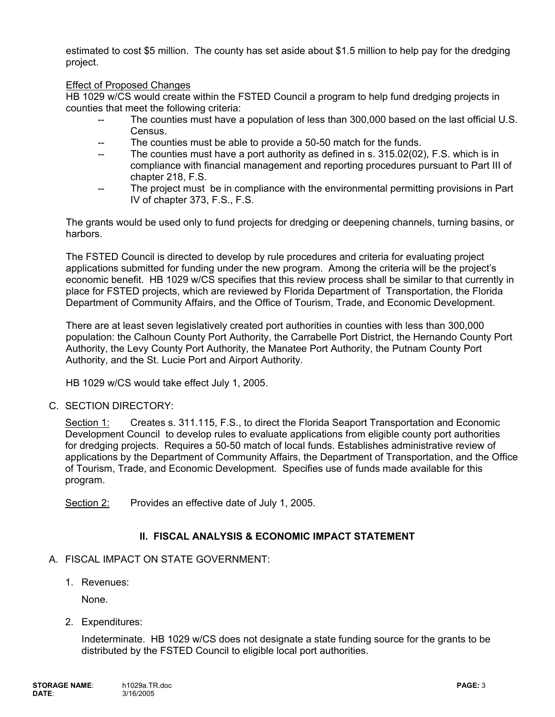estimated to cost \$5 million. The county has set aside about \$1.5 million to help pay for the dredging project.

#### Effect of Proposed Changes

HB 1029 w/CS would create within the FSTED Council a program to help fund dredging projects in counties that meet the following criteria:

- The counties must have a population of less than 300,000 based on the last official U.S. Census.
- The counties must be able to provide a 50-50 match for the funds.
- -- The counties must have a port authority as defined in s. 315.02(02), F.S. which is in compliance with financial management and reporting procedures pursuant to Part III of chapter 218, F.S.
- -- The project must be in compliance with the environmental permitting provisions in Part IV of chapter 373, F.S., F.S.

The grants would be used only to fund projects for dredging or deepening channels, turning basins, or harbors.

The FSTED Council is directed to develop by rule procedures and criteria for evaluating project applications submitted for funding under the new program. Among the criteria will be the project's economic benefit. HB 1029 w/CS specifies that this review process shall be similar to that currently in place for FSTED projects, which are reviewed by Florida Department of Transportation, the Florida Department of Community Affairs, and the Office of Tourism, Trade, and Economic Development.

There are at least seven legislatively created port authorities in counties with less than 300,000 population: the Calhoun County Port Authority, the Carrabelle Port District, the Hernando County Port Authority, the Levy County Port Authority, the Manatee Port Authority, the Putnam County Port Authority, and the St. Lucie Port and Airport Authority.

HB 1029 w/CS would take effect July 1, 2005.

### C. SECTION DIRECTORY:

Section 1: Creates s. 311.115, F.S., to direct the Florida Seaport Transportation and Economic Development Council to develop rules to evaluate applications from eligible county port authorities for dredging projects. Requires a 50-50 match of local funds. Establishes administrative review of applications by the Department of Community Affairs, the Department of Transportation, and the Office of Tourism, Trade, and Economic Development. Specifies use of funds made available for this program.

Section 2: Provides an effective date of July 1, 2005.

# **II. FISCAL ANALYSIS & ECONOMIC IMPACT STATEMENT**

### A. FISCAL IMPACT ON STATE GOVERNMENT:

1. Revenues:

None.

2. Expenditures:

Indeterminate. HB 1029 w/CS does not designate a state funding source for the grants to be distributed by the FSTED Council to eligible local port authorities.